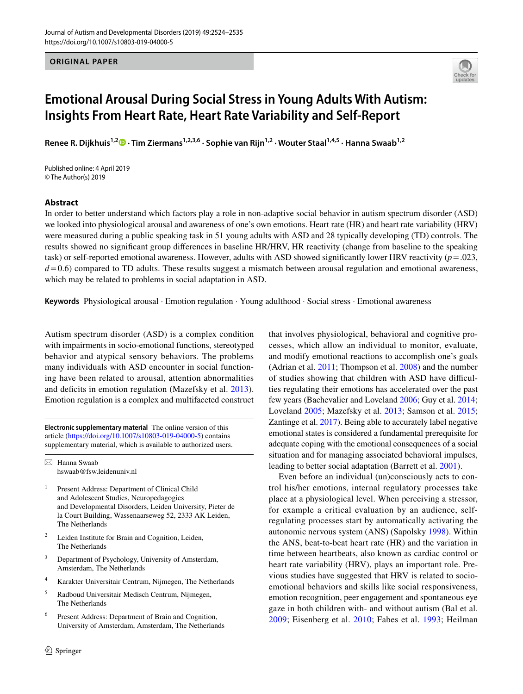**ORIGINAL PAPER**



# **Emotional Arousal During Social Stress in Young Adults With Autism: Insights From Heart Rate, Heart Rate Variability and Self‑Report**

**Renee R. Dijkhuis1,2  [·](http://orcid.org/0000-0001-5107-6628) Tim Ziermans1,2,3,6 · Sophie van Rijn1,2 · Wouter Staal1,4,5 · Hanna Swaab1,2**

Published online: 4 April 2019 © The Author(s) 2019

### **Abstract**

In order to better understand which factors play a role in non-adaptive social behavior in autism spectrum disorder (ASD) we looked into physiological arousal and awareness of one's own emotions. Heart rate (HR) and heart rate variability (HRV) were measured during a public speaking task in 51 young adults with ASD and 28 typically developing (TD) controls. The results showed no signifcant group diferences in baseline HR/HRV, HR reactivity (change from baseline to the speaking task) or self-reported emotional awareness. However, adults with ASD showed signifcantly lower HRV reactivity (*p*=.023,  $d$ =0.6) compared to TD adults. These results suggest a mismatch between arousal regulation and emotional awareness, which may be related to problems in social adaptation in ASD.

**Keywords** Physiological arousal · Emotion regulation · Young adulthood · Social stress · Emotional awareness

Autism spectrum disorder (ASD) is a complex condition with impairments in socio-emotional functions, stereotyped behavior and atypical sensory behaviors. The problems many individuals with ASD encounter in social functioning have been related to arousal, attention abnormalities and deficits in emotion regulation (Mazefsky et al. [2013](#page-9-0)). Emotion regulation is a complex and multifaceted construct

**Electronic supplementary material** The online version of this article [\(https://doi.org/10.1007/s10803-019-04000-5\)](https://doi.org/10.1007/s10803-019-04000-5) contains supplementary material, which is available to authorized users.

 $\boxtimes$  Hanna Swaab hswaab@fsw.leidenuniv.nl

- <sup>1</sup> Present Address: Department of Clinical Child and Adolescent Studies, Neuropedagogics and Developmental Disorders, Leiden University, Pieter de la Court Building, Wassenaarseweg 52, 2333 AK Leiden, The Netherlands
- <sup>2</sup> Leiden Institute for Brain and Cognition, Leiden, The Netherlands
- <sup>3</sup> Department of Psychology, University of Amsterdam, Amsterdam, The Netherlands
- <sup>4</sup> Karakter Universitair Centrum, Nijmegen, The Netherlands
- <sup>5</sup> Radboud Universitair Medisch Centrum, Nijmegen, The Netherlands
- <sup>6</sup> Present Address: Department of Brain and Cognition, University of Amsterdam, Amsterdam, The Netherlands

that involves physiological, behavioral and cognitive processes, which allow an individual to monitor, evaluate, and modify emotional reactions to accomplish one's goals (Adrian et al. [2011](#page-8-0); Thompson et al. [2008\)](#page-11-0) and the number of studies showing that children with ASD have difficulties regulating their emotions has accelerated over the past few years (Bachevalier and Loveland [2006](#page-8-1); Guy et al. [2014](#page-9-1); Loveland [2005;](#page-9-2) Mazefsky et al. [2013](#page-9-0); Samson et al. [2015](#page-10-0); Zantinge et al. [2017](#page-11-1)). Being able to accurately label negative emotional states is considered a fundamental prerequisite for adequate coping with the emotional consequences of a social situation and for managing associated behavioral impulses, leading to better social adaptation (Barrett et al. [2001\)](#page-8-2).

Even before an individual (un)consciously acts to control his/her emotions, internal regulatory processes take place at a physiological level. When perceiving a stressor, for example a critical evaluation by an audience, selfregulating processes start by automatically activating the autonomic nervous system (ANS) (Sapolsky [1998\)](#page-10-1). Within the ANS, beat-to-beat heart rate (HR) and the variation in time between heartbeats, also known as cardiac control or heart rate variability (HRV), plays an important role. Previous studies have suggested that HRV is related to socioemotional behaviors and skills like social responsiveness, emotion recognition, peer engagement and spontaneous eye gaze in both children with- and without autism (Bal et al. [2009;](#page-8-3) Eisenberg et al. [2010](#page-9-3); Fabes et al. [1993](#page-9-4); Heilman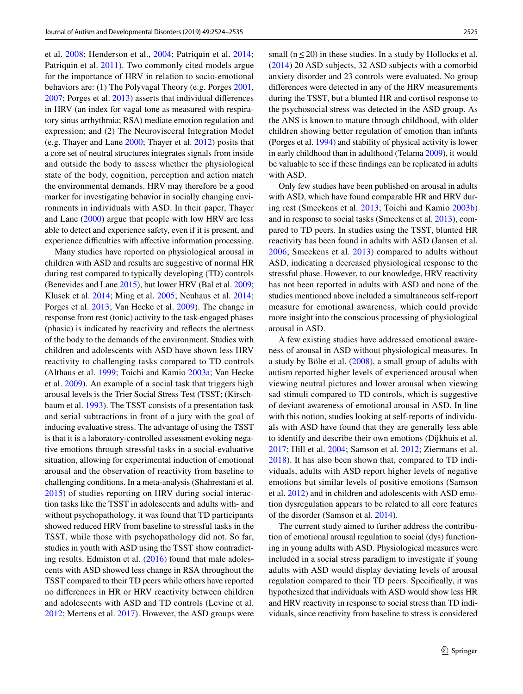et al. [2008](#page-9-5); Henderson et al., [2004](#page-9-6); Patriquin et al. [2014](#page-10-2); Patriquin et al. [2011](#page-10-3)). Two commonly cited models argue for the importance of HRV in relation to socio-emotional behaviors are: (1) The Polyvagal Theory (e.g. Porges [2001,](#page-10-4) [2007](#page-10-5); Porges et al. [2013](#page-10-6)) asserts that individual diferences in HRV (an index for vagal tone as measured with respiratory sinus arrhythmia; RSA) mediate emotion regulation and expression; and (2) The Neurovisceral Integration Model (e.g. Thayer and Lane [2000;](#page-11-2) Thayer et al. [2012\)](#page-10-7) posits that a core set of neutral structures integrates signals from inside and outside the body to assess whether the physiological state of the body, cognition, perception and action match the environmental demands. HRV may therefore be a good marker for investigating behavior in socially changing environments in individuals with ASD. In their paper, Thayer and Lane [\(2000\)](#page-11-2) argue that people with low HRV are less able to detect and experience safety, even if it is present, and experience difficulties with affective information processing.

Many studies have reported on physiological arousal in children with ASD and results are suggestive of normal HR during rest compared to typically developing (TD) controls (Benevides and Lane [2015](#page-8-4)), but lower HRV (Bal et al. [2009](#page-8-3); Klusek et al. [2014;](#page-9-7) Ming et al. [2005](#page-10-8); Neuhaus et al. [2014](#page-10-9); Porges et al. [2013;](#page-10-6) Van Hecke et al. [2009\)](#page-11-3). The change in response from rest (tonic) activity to the task-engaged phases (phasic) is indicated by reactivity and refects the alertness of the body to the demands of the environment. Studies with children and adolescents with ASD have shown less HRV reactivity to challenging tasks compared to TD controls (Althaus et al. [1999](#page-8-5); Toichi and Kamio [2003a](#page-11-4); Van Hecke et al. [2009](#page-11-3)). An example of a social task that triggers high arousal levels is the Trier Social Stress Test (TSST; (Kirschbaum et al. [1993\)](#page-9-8). The TSST consists of a presentation task and serial subtractions in front of a jury with the goal of inducing evaluative stress. The advantage of using the TSST is that it is a laboratory-controlled assessment evoking negative emotions through stressful tasks in a social-evaluative situation, allowing for experimental induction of emotional arousal and the observation of reactivity from baseline to challenging conditions. In a meta-analysis (Shahrestani et al. [2015\)](#page-10-10) of studies reporting on HRV during social interaction tasks like the TSST in adolescents and adults with- and without psychopathology, it was found that TD participants showed reduced HRV from baseline to stressful tasks in the TSST, while those with psychopathology did not. So far, studies in youth with ASD using the TSST show contradicting results. Edmiston et al. ([2016\)](#page-9-9) found that male adolescents with ASD showed less change in RSA throughout the TSST compared to their TD peers while others have reported no diferences in HR or HRV reactivity between children and adolescents with ASD and TD controls (Levine et al. [2012](#page-9-10); Mertens et al. [2017\)](#page-10-11). However, the ASD groups were small ( $n \leq 20$ ) in these studies. In a study by Hollocks et al. ([2014\)](#page-9-11) 20 ASD subjects, 32 ASD subjects with a comorbid anxiety disorder and 23 controls were evaluated. No group diferences were detected in any of the HRV measurements during the TSST, but a blunted HR and cortisol response to the psychosocial stress was detected in the ASD group. As the ANS is known to mature through childhood, with older children showing better regulation of emotion than infants (Porges et al. [1994](#page-10-12)) and stability of physical activity is lower in early childhood than in adulthood (Telama [2009](#page-10-13)), it would be valuable to see if these fndings can be replicated in adults with ASD.

Only few studies have been published on arousal in adults with ASD, which have found comparable HR and HRV during rest (Smeekens et al. [2013;](#page-10-14) Toichi and Kamio [2003b\)](#page-11-5) and in response to social tasks (Smeekens et al. [2013\)](#page-10-14), compared to TD peers. In studies using the TSST, blunted HR reactivity has been found in adults with ASD (Jansen et al. [2006;](#page-9-12) Smeekens et al. [2013\)](#page-10-14) compared to adults without ASD, indicating a decreased physiological response to the stressful phase. However, to our knowledge, HRV reactivity has not been reported in adults with ASD and none of the studies mentioned above included a simultaneous self-report measure for emotional awareness, which could provide more insight into the conscious processing of physiological arousal in ASD.

A few existing studies have addressed emotional awareness of arousal in ASD without physiological measures. In a study by Bölte et al. [\(2008](#page-9-13)), a small group of adults with autism reported higher levels of experienced arousal when viewing neutral pictures and lower arousal when viewing sad stimuli compared to TD controls, which is suggestive of deviant awareness of emotional arousal in ASD. In line with this notion, studies looking at self-reports of individuals with ASD have found that they are generally less able to identify and describe their own emotions (Dijkhuis et al. [2017](#page-9-14); Hill et al. [2004;](#page-9-15) Samson et al. [2012](#page-10-15); Ziermans et al. [2018\)](#page-11-6). It has also been shown that, compared to TD individuals, adults with ASD report higher levels of negative emotions but similar levels of positive emotions (Samson et al. [2012\)](#page-10-15) and in children and adolescents with ASD emotion dysregulation appears to be related to all core features of the disorder (Samson et al. [2014](#page-10-16)).

The current study aimed to further address the contribution of emotional arousal regulation to social (dys) functioning in young adults with ASD. Physiological measures were included in a social stress paradigm to investigate if young adults with ASD would display deviating levels of arousal regulation compared to their TD peers. Specifcally, it was hypothesized that individuals with ASD would show less HR and HRV reactivity in response to social stress than TD individuals, since reactivity from baseline to stress is considered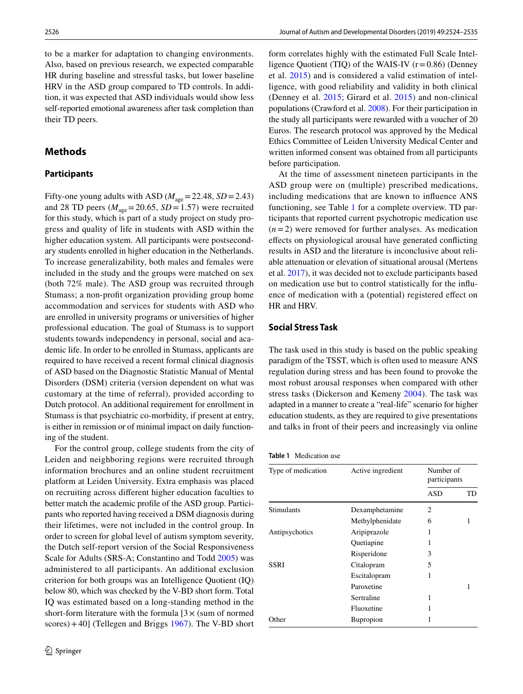to be a marker for adaptation to changing environments. Also, based on previous research, we expected comparable HR during baseline and stressful tasks, but lower baseline HRV in the ASD group compared to TD controls. In addition, it was expected that ASD individuals would show less self-reported emotional awareness after task completion than their TD peers.

### **Methods**

### **Participants**

Fifty-one young adults with ASD ( $M_{\text{age}}$  = 22.48, *SD* = 2.43) and 28 TD peers ( $M_{\text{age}}$  = 20.65, *SD* = 1.57) were recruited for this study, which is part of a study project on study progress and quality of life in students with ASD within the higher education system. All participants were postsecondary students enrolled in higher education in the Netherlands. To increase generalizability, both males and females were included in the study and the groups were matched on sex (both 72% male). The ASD group was recruited through Stumass; a non-proft organization providing group home accommodation and services for students with ASD who are enrolled in university programs or universities of higher professional education. The goal of Stumass is to support students towards independency in personal, social and academic life. In order to be enrolled in Stumass, applicants are required to have received a recent formal clinical diagnosis of ASD based on the Diagnostic Statistic Manual of Mental Disorders (DSM) criteria (version dependent on what was customary at the time of referral), provided according to Dutch protocol. An additional requirement for enrollment in Stumass is that psychiatric co-morbidity, if present at entry, is either in remission or of minimal impact on daily functioning of the student.

For the control group, college students from the city of Leiden and neighboring regions were recruited through information brochures and an online student recruitment platform at Leiden University. Extra emphasis was placed on recruiting across diferent higher education faculties to better match the academic profle of the ASD group. Participants who reported having received a DSM diagnosis during their lifetimes, were not included in the control group. In order to screen for global level of autism symptom severity, the Dutch self-report version of the Social Responsiveness Scale for Adults (SRS-A; Constantino and Todd [2005\)](#page-9-16) was administered to all participants. An additional exclusion criterion for both groups was an Intelligence Quotient (IQ) below 80, which was checked by the V-BD short form. Total IQ was estimated based on a long-standing method in the short-form literature with the formula  $[3 \times (sum$  of normed scores) + 40] (Tellegen and Briggs  $1967$ ). The V-BD short

form correlates highly with the estimated Full Scale Intelligence Quotient (TIQ) of the WAIS-IV  $(r=0.86)$  (Denney et al. [2015\)](#page-9-17) and is considered a valid estimation of intelligence, with good reliability and validity in both clinical (Denney et al. [2015](#page-9-17); Girard et al. [2015](#page-9-18)) and non-clinical populations (Crawford et al. [2008\)](#page-9-19). For their participation in the study all participants were rewarded with a voucher of 20 Euros. The research protocol was approved by the Medical Ethics Committee of Leiden University Medical Center and written informed consent was obtained from all participants before participation.

At the time of assessment nineteen participants in the ASD group were on (multiple) prescribed medications, including medications that are known to infuence ANS functioning, see Table [1](#page-2-0) for a complete overview. TD participants that reported current psychotropic medication use  $(n=2)$  were removed for further analyses. As medication efects on physiological arousal have generated conficting results in ASD and the literature is inconclusive about reliable attenuation or elevation of situational arousal (Mertens et al. [2017\)](#page-10-11), it was decided not to exclude participants based on medication use but to control statistically for the infuence of medication with a (potential) registered efect on HR and HRV.

### **Social Stress Task**

The task used in this study is based on the public speaking paradigm of the TSST, which is often used to measure ANS regulation during stress and has been found to provoke the most robust arousal responses when compared with other stress tasks (Dickerson and Kemeny [2004\)](#page-9-20). The task was adapted in a manner to create a "real-life" scenario for higher education students, as they are required to give presentations and talks in front of their peers and increasingly via online

<span id="page-2-0"></span>

| Type of medication | Active ingredient | Number of<br>participants |    |
|--------------------|-------------------|---------------------------|----|
|                    |                   | ASD                       | TD |
| <b>Stimulants</b>  | Dexamphetamine    | 2                         |    |
|                    | Methylphenidate   | 6                         | 1  |
| Antipsychotics     | Aripiprazole      | 1                         |    |
|                    | Quetiapine        | 1                         |    |
|                    | Risperidone       | 3                         |    |
| SSRI               | Citalopram        | 5                         |    |
|                    | Escitalopram      | 1                         |    |
|                    | Paroxetine        |                           | 1  |
|                    | Sertraline        | 1                         |    |
|                    | Fluoxetine        | 1                         |    |
| Other              | <b>Bupropion</b>  |                           |    |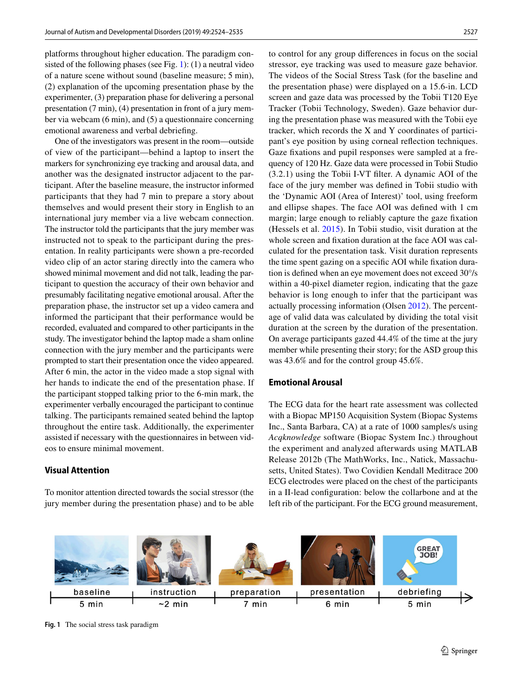platforms throughout higher education. The paradigm consisted of the following phases (see Fig. [1](#page-3-0)): (1) a neutral video of a nature scene without sound (baseline measure; 5 min), (2) explanation of the upcoming presentation phase by the experimenter, (3) preparation phase for delivering a personal presentation (7 min), (4) presentation in front of a jury member via webcam (6 min), and (5) a questionnaire concerning emotional awareness and verbal debriefng.

One of the investigators was present in the room—outside of view of the participant—behind a laptop to insert the markers for synchronizing eye tracking and arousal data, and another was the designated instructor adjacent to the participant. After the baseline measure, the instructor informed participants that they had 7 min to prepare a story about themselves and would present their story in English to an international jury member via a live webcam connection. The instructor told the participants that the jury member was instructed not to speak to the participant during the presentation. In reality participants were shown a pre-recorded video clip of an actor staring directly into the camera who showed minimal movement and did not talk, leading the participant to question the accuracy of their own behavior and presumably facilitating negative emotional arousal. After the preparation phase, the instructor set up a video camera and informed the participant that their performance would be recorded, evaluated and compared to other participants in the study. The investigator behind the laptop made a sham online connection with the jury member and the participants were prompted to start their presentation once the video appeared. After 6 min, the actor in the video made a stop signal with her hands to indicate the end of the presentation phase. If the participant stopped talking prior to the 6-min mark, the experimenter verbally encouraged the participant to continue talking. The participants remained seated behind the laptop throughout the entire task. Additionally, the experimenter assisted if necessary with the questionnaires in between videos to ensure minimal movement.

### **Visual Attention**

To monitor attention directed towards the social stressor (the jury member during the presentation phase) and to be able to control for any group diferences in focus on the social stressor, eye tracking was used to measure gaze behavior. The videos of the Social Stress Task (for the baseline and the presentation phase) were displayed on a 15.6-in. LCD screen and gaze data was processed by the Tobii T120 Eye Tracker (Tobii Technology, Sweden). Gaze behavior during the presentation phase was measured with the Tobii eye tracker, which records the X and Y coordinates of participant's eye position by using corneal refection techniques. Gaze fxations and pupil responses were sampled at a frequency of 120 Hz. Gaze data were processed in Tobii Studio (3.2.1) using the Tobii I-VT flter. A dynamic AOI of the face of the jury member was defned in Tobii studio with the 'Dynamic AOI (Area of Interest)' tool, using freeform and ellipse shapes. The face AOI was defned with 1 cm margin; large enough to reliably capture the gaze fxation (Hessels et al. [2015\)](#page-9-21). In Tobii studio, visit duration at the whole screen and fxation duration at the face AOI was calculated for the presentation task. Visit duration represents the time spent gazing on a specifc AOI while fxation duration is defned when an eye movement does not exceed 30°/s within a 40-pixel diameter region, indicating that the gaze behavior is long enough to infer that the participant was actually processing information (Olsen [2012](#page-10-18)). The percentage of valid data was calculated by dividing the total visit duration at the screen by the duration of the presentation. On average participants gazed 44.4% of the time at the jury member while presenting their story; for the ASD group this was 43.6% and for the control group 45.6%.

### **Emotional Arousal**

The ECG data for the heart rate assessment was collected with a Biopac MP150 Acquisition System (Biopac Systems Inc., Santa Barbara, CA) at a rate of 1000 samples/s using *Acqknowledge* software (Biopac System Inc.) throughout the experiment and analyzed afterwards using MATLAB Release 2012b (The MathWorks, Inc., Natick, Massachusetts, United States). Two Covidien Kendall Meditrace 200 ECG electrodes were placed on the chest of the participants in a II-lead confguration: below the collarbone and at the left rib of the participant. For the ECG ground measurement,



<span id="page-3-0"></span>**Fig. 1** The social stress task paradigm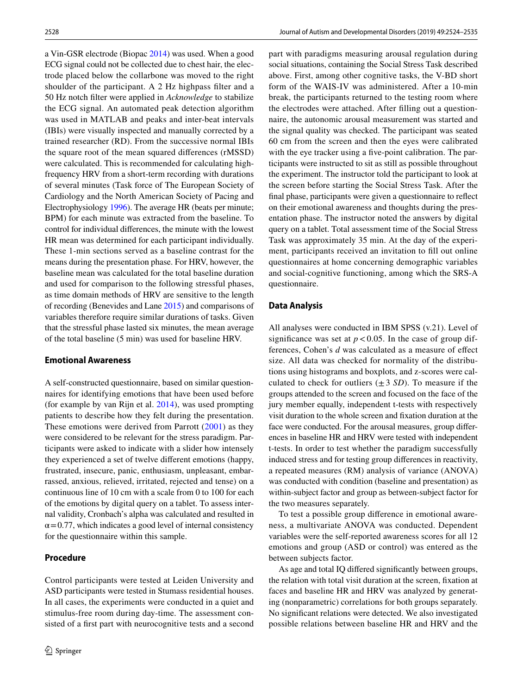a Vin-GSR electrode (Biopac [2014](#page-9-22)) was used. When a good ECG signal could not be collected due to chest hair, the electrode placed below the collarbone was moved to the right shoulder of the participant. A 2 Hz highpass flter and a 50 Hz notch flter were applied in *Acknowledge* to stabilize the ECG signal. An automated peak detection algorithm was used in MATLAB and peaks and inter-beat intervals (IBIs) were visually inspected and manually corrected by a trained researcher (RD). From the successive normal IBIs the square root of the mean squared diferences (rMSSD) were calculated. This is recommended for calculating highfrequency HRV from a short-term recording with durations of several minutes (Task force of The European Society of Cardiology and the North American Society of Pacing and Electrophysiology [1996\)](#page-10-19). The average HR (beats per minute; BPM) for each minute was extracted from the baseline. To control for individual diferences, the minute with the lowest HR mean was determined for each participant individually. These 1-min sections served as a baseline contrast for the means during the presentation phase. For HRV, however, the baseline mean was calculated for the total baseline duration and used for comparison to the following stressful phases, as time domain methods of HRV are sensitive to the length of recording (Benevides and Lane [2015](#page-8-4)) and comparisons of variables therefore require similar durations of tasks. Given that the stressful phase lasted six minutes, the mean average of the total baseline (5 min) was used for baseline HRV.

### **Emotional Awareness**

A self-constructed questionnaire, based on similar questionnaires for identifying emotions that have been used before (for example by van Rijn et al. [2014\)](#page-11-7), was used prompting patients to describe how they felt during the presentation. These emotions were derived from Parrott [\(2001\)](#page-10-20) as they were considered to be relevant for the stress paradigm. Participants were asked to indicate with a slider how intensely they experienced a set of twelve diferent emotions (happy, frustrated, insecure, panic, enthusiasm, unpleasant, embarrassed, anxious, relieved, irritated, rejected and tense) on a continuous line of 10 cm with a scale from 0 to 100 for each of the emotions by digital query on a tablet. To assess internal validity, Cronbach's alpha was calculated and resulted in  $\alpha$ =0.77, which indicates a good level of internal consistency for the questionnaire within this sample.

### **Procedure**

Control participants were tested at Leiden University and ASD participants were tested in Stumass residential houses. In all cases, the experiments were conducted in a quiet and stimulus-free room during day-time. The assessment consisted of a frst part with neurocognitive tests and a second part with paradigms measuring arousal regulation during social situations, containing the Social Stress Task described above. First, among other cognitive tasks, the V-BD short form of the WAIS-IV was administered. After a 10-min break, the participants returned to the testing room where the electrodes were attached. After flling out a questionnaire, the autonomic arousal measurement was started and the signal quality was checked. The participant was seated 60 cm from the screen and then the eyes were calibrated with the eye tracker using a five-point calibration. The participants were instructed to sit as still as possible throughout the experiment. The instructor told the participant to look at the screen before starting the Social Stress Task. After the fnal phase, participants were given a questionnaire to refect on their emotional awareness and thoughts during the presentation phase. The instructor noted the answers by digital query on a tablet. Total assessment time of the Social Stress Task was approximately 35 min. At the day of the experiment, participants received an invitation to fll out online questionnaires at home concerning demographic variables and social-cognitive functioning, among which the SRS-A questionnaire.

### **Data Analysis**

All analyses were conducted in IBM SPSS (v.21). Level of significance was set at  $p < 0.05$ . In the case of group differences, Cohen's *d* was calculated as a measure of efect size. All data was checked for normality of the distributions using histograms and boxplots, and z-scores were calculated to check for outliers  $(\pm 3 \text{ SD})$ . To measure if the groups attended to the screen and focused on the face of the jury member equally, independent t-tests with respectively visit duration to the whole screen and fxation duration at the face were conducted. For the arousal measures, group diferences in baseline HR and HRV were tested with independent t-tests. In order to test whether the paradigm successfully induced stress and for testing group diferences in reactivity, a repeated measures (RM) analysis of variance (ANOVA) was conducted with condition (baseline and presentation) as within-subject factor and group as between-subject factor for the two measures separately.

To test a possible group diference in emotional awareness, a multivariate ANOVA was conducted. Dependent variables were the self-reported awareness scores for all 12 emotions and group (ASD or control) was entered as the between subjects factor.

As age and total IQ difered signifcantly between groups, the relation with total visit duration at the screen, fxation at faces and baseline HR and HRV was analyzed by generating (nonparametric) correlations for both groups separately. No signifcant relations were detected. We also investigated possible relations between baseline HR and HRV and the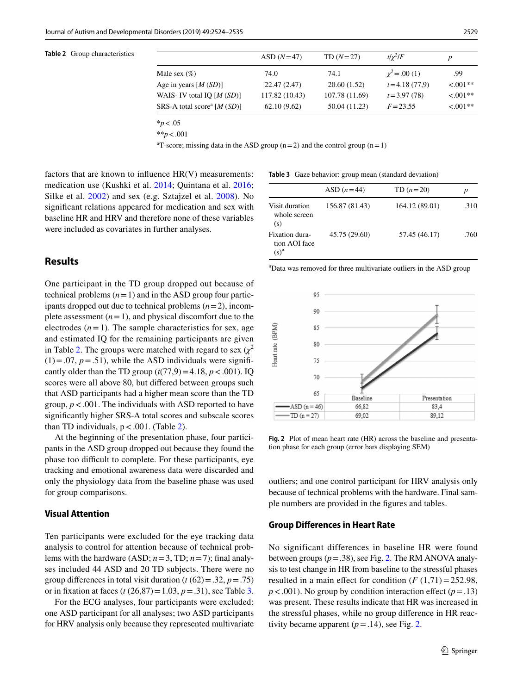#### <span id="page-5-0"></span>**Table 2** Group characteristics

|                                                          | $ASD(N=47)$    | $TD(N=27)$     | $t/\gamma^2/F$     | p          |
|----------------------------------------------------------|----------------|----------------|--------------------|------------|
| Male sex (%)                                             | 74.0           | 74.1           | $\chi^2$ = .00 (1) | .99        |
| Age in years $[M(SD)]$                                   | 22.47 (2.47)   | 20.60 (1.52)   | $t = 4.18(77.9)$   | $< 0.01**$ |
| WAIS- IV total IQ $[M(SD)]$                              | 117.82 (10.43) | 107.78 (11.69) | $t = 3.97(78)$     | $< 0.01**$ |
| SRS-A total score <sup>a</sup> [ <i>M</i> ( <i>SD</i> )] | 62.10(9.62)    | 50.04 (11.23)  | $F = 23.55$        | $< 0.01**$ |
|                                                          |                |                |                    |            |

\**p*<.05

\*\**p*<.001

<sup>a</sup>T-score; missing data in the ASD group  $(n=2)$  and the control group  $(n=1)$ 

factors that are known to infuence HR(V) measurements: medication use (Kushki et al. [2014](#page-9-23); Quintana et al. [2016](#page-10-21); Silke et al. [2002](#page-10-22)) and sex (e.g. Sztajzel et al. [2008](#page-10-23)). No signifcant relations appeared for medication and sex with baseline HR and HRV and therefore none of these variables were included as covariates in further analyses.

### **Results**

One participant in the TD group dropped out because of technical problems  $(n=1)$  and in the ASD group four participants dropped out due to technical problems (*n*=2), incomplete assessment  $(n=1)$ , and physical discomfort due to the electrodes  $(n=1)$ . The sample characteristics for sex, age and estimated IQ for the remaining participants are given in Table [2](#page-5-0). The groups were matched with regard to sex  $(\chi^2)$  $(1) = .07$ ,  $p = .51$ ), while the ASD individuals were significantly older than the TD group  $(t(77,9)=4.18, p < .001)$ . IQ scores were all above 80, but difered between groups such that ASD participants had a higher mean score than the TD group,  $p < .001$ . The individuals with ASD reported to have signifcantly higher SRS-A total scores and subscale scores than TD individuals,  $p < .001$ . (Table [2](#page-5-0)).

At the beginning of the presentation phase, four participants in the ASD group dropped out because they found the phase too difficult to complete. For these participants, eye tracking and emotional awareness data were discarded and only the physiology data from the baseline phase was used for group comparisons.

### **Visual Attention**

Ten participants were excluded for the eye tracking data analysis to control for attention because of technical problems with the hardware (ASD;  $n=3$ , TD;  $n=7$ ); final analyses included 44 ASD and 20 TD subjects. There were no group differences in total visit duration ( $t$  ( $62$ ) = .32,  $p$  = .75) or in fixation at faces  $(t (26, 87) = 1.03, p = .31)$ , see Table [3.](#page-5-1)

For the ECG analyses, four participants were excluded: one ASD participant for all analyses; two ASD participants for HRV analysis only because they represented multivariate

<span id="page-5-1"></span>**Table 3** Gaze behavior: group mean (standard deviation)

|                                            | ASD $(n=44)$   | TD $(n=20)$    | р    |
|--------------------------------------------|----------------|----------------|------|
| Visit duration<br>whole screen<br>(s)      | 156.87 (81.43) | 164.12 (89.01) | .310 |
| Fixation dura-<br>tion AOI face<br>$(s)^a$ | 45.75 (29.60)  | 57.45 (46.17)  | .760 |

a Data was removed for three multivariate outliers in the ASD group



<span id="page-5-2"></span>**Fig. 2** Plot of mean heart rate (HR) across the baseline and presentation phase for each group (error bars displaying SEM)

outliers; and one control participant for HRV analysis only because of technical problems with the hardware. Final sample numbers are provided in the fgures and tables.

#### **Group Diferences in Heart Rate**

No significant differences in baseline HR were found between groups  $(p=.38)$ , see Fig. [2](#page-5-2). The RM ANOVA analysis to test change in HR from baseline to the stressful phases resulted in a main effect for condition  $(F(1,71)=252.98$ ,  $p < .001$ ). No group by condition interaction effect ( $p = .13$ ) was present. These results indicate that HR was increased in the stressful phases, while no group diference in HR reactivity became apparent  $(p=.14)$ , see Fig. [2](#page-5-2).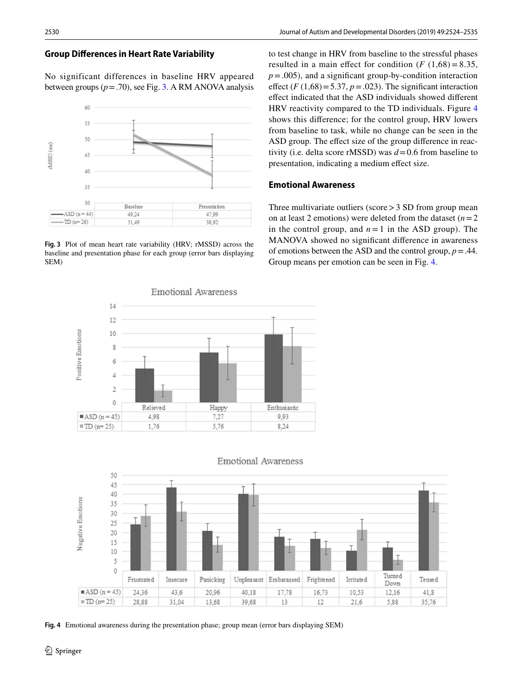### **Group Diferences in Heart Rate Variability**

No significant differences in baseline HRV appeared between groups  $(p=.70)$ , see Fig. [3.](#page-6-0) A RM ANOVA analysis



<span id="page-6-0"></span>**Fig. 3** Plot of mean heart rate variability (HRV; rMSSD) across the baseline and presentation phase for each group (error bars displaying SEM)

**Emotional Awareness** 14 12 Positive Emotions 10 g 6  $\overline{4}$  $\overline{2}$  $\mathbf 0$ Relieved Happy Enthusiastic  $\blacksquare$ ASD (n = 45) 4,98 7,27 9,93  $\blacksquare$  TD (n= 25) 1.76 5,76 8.24

to test change in HRV from baseline to the stressful phases resulted in a main effect for condition  $(F (1,68) = 8.35,$  $p = .005$ ), and a significant group-by-condition interaction effect  $(F(1,68) = 5.37, p = .023)$ . The significant interaction efect indicated that the ASD individuals showed diferent HRV reactivity compared to the TD individuals. Figure [4](#page-6-1) shows this diference; for the control group, HRV lowers from baseline to task, while no change can be seen in the ASD group. The effect size of the group difference in reactivity (i.e. delta score rMSSD) was *d*=0.6 from baseline to presentation, indicating a medium efect size.

### **Emotional Awareness**

Three multivariate outliers (score  $>$  3 SD from group mean on at least 2 emotions) were deleted from the dataset  $(n=2)$ in the control group, and  $n = 1$  in the ASD group). The MANOVA showed no signifcant diference in awareness of emotions between the ASD and the control group,  $p = .44$ . Group means per emotion can be seen in Fig. [4.](#page-6-1)



**Emotional Awareness** 

<span id="page-6-1"></span>**Fig. 4** Emotional awareness during the presentation phase; group mean (error bars displaying SEM)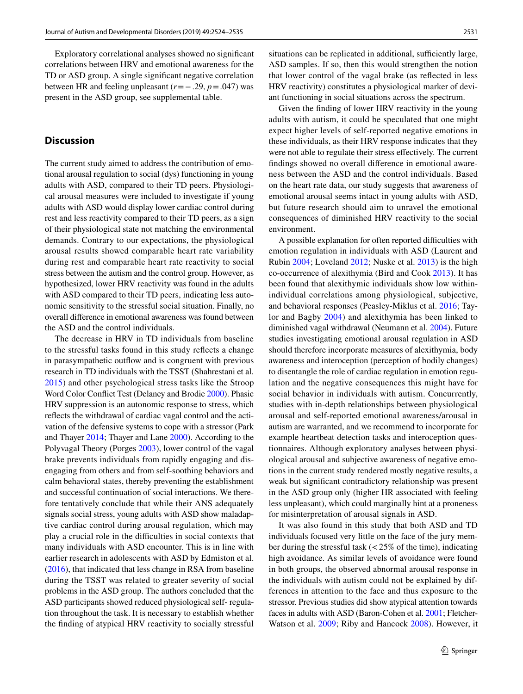Exploratory correlational analyses showed no signifcant correlations between HRV and emotional awareness for the TD or ASD group. A single signifcant negative correlation between HR and feeling unpleasant (*r*=−.29, *p*=.047) was present in the ASD group, see supplemental table.

# **Discussion**

The current study aimed to address the contribution of emotional arousal regulation to social (dys) functioning in young adults with ASD, compared to their TD peers. Physiological arousal measures were included to investigate if young adults with ASD would display lower cardiac control during rest and less reactivity compared to their TD peers, as a sign of their physiological state not matching the environmental demands. Contrary to our expectations, the physiological arousal results showed comparable heart rate variability during rest and comparable heart rate reactivity to social stress between the autism and the control group. However, as hypothesized, lower HRV reactivity was found in the adults with ASD compared to their TD peers, indicating less autonomic sensitivity to the stressful social situation. Finally, no overall diference in emotional awareness was found between the ASD and the control individuals.

The decrease in HRV in TD individuals from baseline to the stressful tasks found in this study refects a change in parasympathetic outfow and is congruent with previous research in TD individuals with the TSST (Shahrestani et al. [2015](#page-10-10)) and other psychological stress tasks like the Stroop Word Color Confict Test (Delaney and Brodie [2000](#page-9-24)). Phasic HRV suppression is an autonomic response to stress, which refects the withdrawal of cardiac vagal control and the activation of the defensive systems to cope with a stressor (Park and Thayer [2014](#page-10-24); Thayer and Lane [2000\)](#page-11-2). According to the Polyvagal Theory (Porges [2003\)](#page-10-25), lower control of the vagal brake prevents individuals from rapidly engaging and disengaging from others and from self-soothing behaviors and calm behavioral states, thereby preventing the establishment and successful continuation of social interactions. We therefore tentatively conclude that while their ANS adequately signals social stress, young adults with ASD show maladaptive cardiac control during arousal regulation, which may play a crucial role in the difficulties in social contexts that many individuals with ASD encounter. This is in line with earlier research in adolescents with ASD by Edmiston et al. [\(2016](#page-9-9)), that indicated that less change in RSA from baseline during the TSST was related to greater severity of social problems in the ASD group. The authors concluded that the ASD participants showed reduced physiological self- regulation throughout the task. It is necessary to establish whether the fnding of atypical HRV reactivity to socially stressful situations can be replicated in additional, sufficiently large, ASD samples. If so, then this would strengthen the notion that lower control of the vagal brake (as refected in less HRV reactivity) constitutes a physiological marker of deviant functioning in social situations across the spectrum.

Given the fnding of lower HRV reactivity in the young adults with autism, it could be speculated that one might expect higher levels of self-reported negative emotions in these individuals, as their HRV response indicates that they were not able to regulate their stress efectively. The current fndings showed no overall diference in emotional awareness between the ASD and the control individuals. Based on the heart rate data, our study suggests that awareness of emotional arousal seems intact in young adults with ASD, but future research should aim to unravel the emotional consequences of diminished HRV reactivity to the social environment.

A possible explanation for often reported difficulties with emotion regulation in individuals with ASD (Laurent and Rubin [2004;](#page-9-25) Loveland [2012;](#page-9-26) Nuske et al. [2013\)](#page-10-26) is the high co-occurrence of alexithymia (Bird and Cook [2013](#page-9-27)). It has been found that alexithymic individuals show low withinindividual correlations among physiological, subjective, and behavioral responses (Peasley-Miklus et al. [2016;](#page-10-27) Taylor and Bagby [2004\)](#page-10-28) and alexithymia has been linked to diminished vagal withdrawal (Neumann et al. [2004\)](#page-10-29). Future studies investigating emotional arousal regulation in ASD should therefore incorporate measures of alexithymia, body awareness and interoception (perception of bodily changes) to disentangle the role of cardiac regulation in emotion regulation and the negative consequences this might have for social behavior in individuals with autism. Concurrently, studies with in-depth relationships between physiological arousal and self-reported emotional awareness/arousal in autism are warranted, and we recommend to incorporate for example heartbeat detection tasks and interoception questionnaires. Although exploratory analyses between physiological arousal and subjective awareness of negative emotions in the current study rendered mostly negative results, a weak but signifcant contradictory relationship was present in the ASD group only (higher HR associated with feeling less unpleasant), which could marginally hint at a proneness for misinterpretation of arousal signals in ASD.

It was also found in this study that both ASD and TD individuals focused very little on the face of the jury member during the stressful task  $\left($  < 25% of the time), indicating high avoidance. As similar levels of avoidance were found in both groups, the observed abnormal arousal response in the individuals with autism could not be explained by differences in attention to the face and thus exposure to the stressor. Previous studies did show atypical attention towards faces in adults with ASD (Baron-Cohen et al. [2001](#page-8-6); Fletcher-Watson et al. [2009;](#page-9-28) Riby and Hancock [2008](#page-10-30)). However, it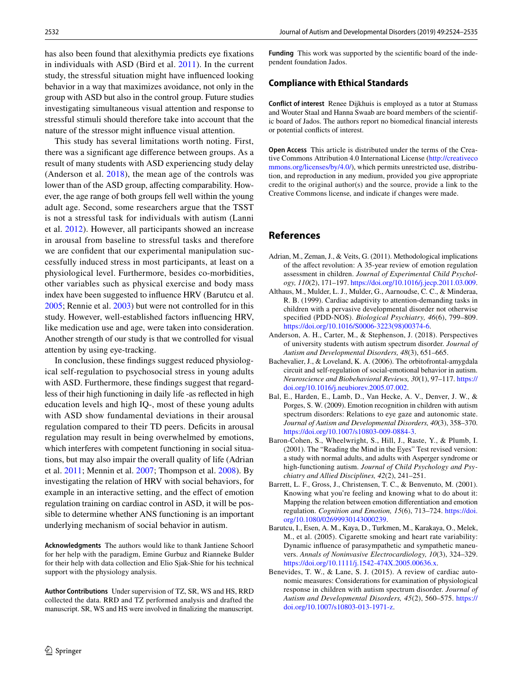has also been found that alexithymia predicts eye fxations in individuals with ASD (Bird et al. [2011\)](#page-9-29). In the current study, the stressful situation might have infuenced looking behavior in a way that maximizes avoidance, not only in the group with ASD but also in the control group. Future studies investigating simultaneous visual attention and response to stressful stimuli should therefore take into account that the nature of the stressor might infuence visual attention.

This study has several limitations worth noting. First, there was a signifcant age diference between groups. As a result of many students with ASD experiencing study delay (Anderson et al. [2018](#page-8-7)), the mean age of the controls was lower than of the ASD group, affecting comparability. However, the age range of both groups fell well within the young adult age. Second, some researchers argue that the TSST is not a stressful task for individuals with autism (Lanni et al. [2012\)](#page-9-30). However, all participants showed an increase in arousal from baseline to stressful tasks and therefore we are confdent that our experimental manipulation successfully induced stress in most participants, at least on a physiological level. Furthermore, besides co-morbidities, other variables such as physical exercise and body mass index have been suggested to infuence HRV (Barutcu et al. [2005](#page-8-8); Rennie et al. [2003](#page-10-31)) but were not controlled for in this study. However, well-established factors infuencing HRV, like medication use and age, were taken into consideration. Another strength of our study is that we controlled for visual attention by using eye-tracking.

In conclusion, these fndings suggest reduced physiological self-regulation to psychosocial stress in young adults with ASD. Furthermore, these fndings suggest that regardless of their high functioning in daily life -as refected in high education levels and high IQ-, most of these young adults with ASD show fundamental deviations in their arousal regulation compared to their TD peers. Deficits in arousal regulation may result in being overwhelmed by emotions, which interferes with competent functioning in social situations, but may also impair the overall quality of life (Adrian et al. [2011](#page-8-0); Mennin et al. [2007](#page-10-32); Thompson et al. [2008\)](#page-11-0). By investigating the relation of HRV with social behaviors, for example in an interactive setting, and the effect of emotion regulation training on cardiac control in ASD, it will be possible to determine whether ANS functioning is an important underlying mechanism of social behavior in autism.

**Acknowledgments** The authors would like to thank Jantiene Schoorl for her help with the paradigm, Emine Gurbuz and Rianneke Bulder for their help with data collection and Elio Sjak-Shie for his technical support with the physiology analysis.

**Author Contributions** Under supervision of TZ, SR, WS and HS, RRD collected the data. RRD and TZ performed analysis and drafted the manuscript. SR, WS and HS were involved in fnalizing the manuscript. **Funding** This work was supported by the scientifc board of the independent foundation Jados.

### **Compliance with Ethical Standards**

**Conflict of interest** Renee Dijkhuis is employed as a tutor at Stumass and Wouter Staal and Hanna Swaab are board members of the scientific board of Jados. The authors report no biomedical fnancial interests or potential conficts of interest.

**Open Access** This article is distributed under the terms of the Creative Commons Attribution 4.0 International License ([http://creativeco](http://creativecommons.org/licenses/by/4.0/) [mmons.org/licenses/by/4.0/](http://creativecommons.org/licenses/by/4.0/)), which permits unrestricted use, distribution, and reproduction in any medium, provided you give appropriate credit to the original author(s) and the source, provide a link to the Creative Commons license, and indicate if changes were made.

## **References**

- <span id="page-8-0"></span>Adrian, M., Zeman, J., & Veits, G. (2011). Methodological implications of the afect revolution: A 35-year review of emotion regulation assessment in children. *Journal of Experimental Child Psychology, 110*(2), 171–197.<https://doi.org/10.1016/j.jecp.2011.03.009>.
- <span id="page-8-5"></span>Althaus, M., Mulder, L. J., Mulder, G., Aarnoudse, C. C., & Minderaa, R. B. (1999). Cardiac adaptivity to attention-demanding tasks in children with a pervasive developmental disorder not otherwise specifed (PDD-NOS). *Biological Psychiatry, 46*(6), 799–809. [https://doi.org/10.1016/S0006-3223\(98\)00374-6](https://doi.org/10.1016/S0006-3223(98)00374-6).
- <span id="page-8-7"></span>Anderson, A. H., Carter, M., & Stephenson, J. (2018). Perspectives of university students with autism spectrum disorder. *Journal of Autism and Developmental Disorders, 48*(3), 651–665.
- <span id="page-8-1"></span>Bachevalier, J., & Loveland, K. A. (2006). The orbitofrontal-amygdala circuit and self-regulation of social-emotional behavior in autism. *Neuroscience and Biobehavioral Reviews, 30*(1), 97–117. [https://](https://doi.org/10.1016/j.neubiorev.2005.07.002) [doi.org/10.1016/j.neubiorev.2005.07.002.](https://doi.org/10.1016/j.neubiorev.2005.07.002)
- <span id="page-8-3"></span>Bal, E., Harden, E., Lamb, D., Van Hecke, A. V., Denver, J. W., & Porges, S. W. (2009). Emotion recognition in children with autism spectrum disorders: Relations to eye gaze and autonomic state. *Journal of Autism and Developmental Disorders, 40*(3), 358–370. <https://doi.org/10.1007/s10803-009-0884-3>.
- <span id="page-8-6"></span>Baron-Cohen, S., Wheelwright, S., Hill, J., Raste, Y., & Plumb, I. (2001). The "Reading the Mind in the Eyes" Test revised version: a study with normal adults, and adults with Asperger syndrome or high-functioning autism. *Journal of Child Psychology and Psychiatry and Allied Disciplines, 42*(2), 241–251.
- <span id="page-8-2"></span>Barrett, L. F., Gross, J., Christensen, T. C., & Benvenuto, M. (2001). Knowing what you're feeling and knowing what to do about it: Mapping the relation between emotion diferentiation and emotion regulation. *Cognition and Emotion, 15*(6), 713–724. [https://doi.](https://doi.org/10.1080/02699930143000239) [org/10.1080/02699930143000239](https://doi.org/10.1080/02699930143000239).
- <span id="page-8-8"></span>Barutcu, I., Esen, A. M., Kaya, D., Turkmen, M., Karakaya, O., Melek, M., et al. (2005). Cigarette smoking and heart rate variability: Dynamic infuence of parasympathetic and sympathetic maneuvers. *Annals of Noninvasive Electrocardiology, 10*(3), 324–329. <https://doi.org/10.1111/j.1542-474X.2005.00636.x>.
- <span id="page-8-4"></span>Benevides, T. W., & Lane, S. J. (2015). A review of cardiac autonomic measures: Considerations for examination of physiological response in children with autism spectrum disorder. *Journal of Autism and Developmental Disorders, 45*(2), 560–575. [https://](https://doi.org/10.1007/s10803-013-1971-z) [doi.org/10.1007/s10803-013-1971-z.](https://doi.org/10.1007/s10803-013-1971-z)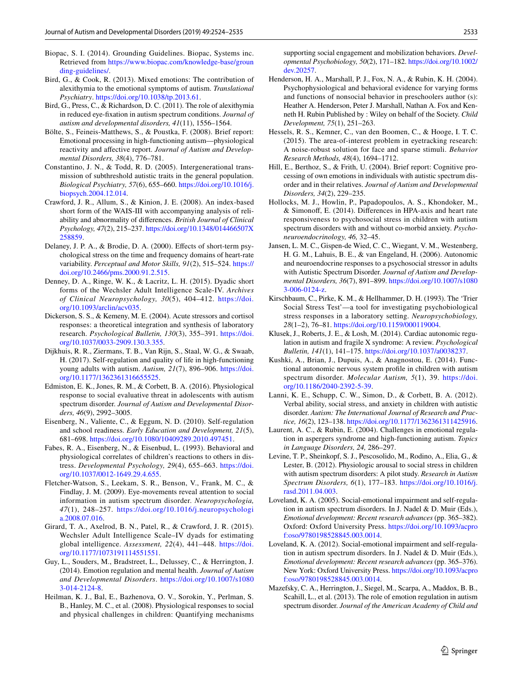- <span id="page-9-22"></span>Biopac, S. I. (2014). Grounding Guidelines. Biopac, Systems inc. Retrieved from [https://www.biopac.com/knowledge-base/groun](https://www.biopac.com/knowledge-base/grounding-guidelines/) [ding-guidelines/.](https://www.biopac.com/knowledge-base/grounding-guidelines/)
- <span id="page-9-27"></span>Bird, G., & Cook, R. (2013). Mixed emotions: The contribution of alexithymia to the emotional symptoms of autism. *Translational Psychiatry*.<https://doi.org/10.1038/tp.2013.61>.
- <span id="page-9-29"></span>Bird, G., Press, C., & Richardson, D. C. (2011). The role of alexithymia in reduced eye-fxation in autism spectrum conditions. *Journal of autism and developmental disorders, 41*(11), 1556–1564.
- <span id="page-9-13"></span>Bölte, S., Feineis-Matthews, S., & Poustka, F. (2008). Brief report: Emotional processing in high-functioning autism—physiological reactivity and afective report. *Journal of Autism and Developmental Disorders, 38*(4), 776–781.
- <span id="page-9-16"></span>Constantino, J. N., & Todd, R. D. (2005). Intergenerational transmission of subthreshold autistic traits in the general population. *Biological Psychiatry, 57*(6), 655–660. [https://doi.org/10.1016/j.](https://doi.org/10.1016/j.biopsych.2004.12.014) [biopsych.2004.12.014.](https://doi.org/10.1016/j.biopsych.2004.12.014)
- <span id="page-9-19"></span>Crawford, J. R., Allum, S., & Kinion, J. E. (2008). An index-based short form of the WAIS-III with accompanying analysis of reliability and abnormality of diferences. *British Journal of Clinical Psychology, 47*(2), 215–237. [https://doi.org/10.1348/014466507X](https://doi.org/10.1348/014466507X258859) [258859.](https://doi.org/10.1348/014466507X258859)
- <span id="page-9-24"></span>Delaney, J. P. A., & Brodie, D. A. (2000). Effects of short-term psychological stress on the time and frequency domains of heart-rate variability. *Perceptual and Motor Skills, 91*(2), 515–524. [https://](https://doi.org/10.2466/pms.2000.91.2.515) [doi.org/10.2466/pms.2000.91.2.515](https://doi.org/10.2466/pms.2000.91.2.515).
- <span id="page-9-17"></span>Denney, D. A., Ringe, W. K., & Lacritz, L. H. (2015). Dyadic short forms of the Wechsler Adult Intelligence Scale-IV. *Archives of Clinical Neuropsychology, 30*(5), 404–412. [https://doi.](https://doi.org/10.1093/arclin/acv035) [org/10.1093/arclin/acv035.](https://doi.org/10.1093/arclin/acv035)
- <span id="page-9-20"></span>Dickerson, S. S., & Kemeny, M. E. (2004). Acute stressors and cortisol responses: a theoretical integration and synthesis of laboratory research. *Psychological Bulletin, 130*(3), 355–391. [https://doi.](https://doi.org/10.1037/0033-2909.130.3.355) [org/10.1037/0033-2909.130.3.355.](https://doi.org/10.1037/0033-2909.130.3.355)
- <span id="page-9-14"></span>Dijkhuis, R. R., Ziermans, T. B., Van Rijn, S., Staal, W. G., & Swaab, H. (2017). Self-regulation and quality of life in high-functioning young adults with autism. *Autism, 21*(7), 896–906. [https://doi.](https://doi.org/10.1177/1362361316655525) [org/10.1177/1362361316655525.](https://doi.org/10.1177/1362361316655525)
- <span id="page-9-9"></span>Edmiston, E. K., Jones, R. M., & Corbett, B. A. (2016). Physiological response to social evaluative threat in adolescents with autism spectrum disorder. *Journal of Autism and Developmental Disorders, 46*(9), 2992–3005.
- <span id="page-9-3"></span>Eisenberg, N., Valiente, C., & Eggum, N. D. (2010). Self-regulation and school readiness. *Early Education and Development, 21*(5), 681–698.<https://doi.org/10.1080/10409289.2010.497451>.
- <span id="page-9-4"></span>Fabes, R. A., Eisenberg, N., & Eisenbud, L. (1993). Behavioral and physiological correlates of children's reactions to others in distress. *Developmental Psychology, 29*(4), 655–663. [https://doi.](https://doi.org/10.1037/0012-1649.29.4.655) [org/10.1037/0012-1649.29.4.655.](https://doi.org/10.1037/0012-1649.29.4.655)
- <span id="page-9-28"></span>Fletcher-Watson, S., Leekam, S. R., Benson, V., Frank, M. C., & Findlay, J. M. (2009). Eye-movements reveal attention to social information in autism spectrum disorder. *Neuropsychologia, 47*(1), 248–257. [https://doi.org/10.1016/j.neuropsychologi](https://doi.org/10.1016/j.neuropsychologia.2008.07.016) [a.2008.07.016.](https://doi.org/10.1016/j.neuropsychologia.2008.07.016)
- <span id="page-9-18"></span>Girard, T. A., Axelrod, B. N., Patel, R., & Crawford, J. R. (2015). Wechsler Adult Intelligence Scale–IV dyads for estimating global intelligence. *Assessment, 22*(4), 441–448. [https://doi.](https://doi.org/10.1177/1073191114551551) [org/10.1177/1073191114551551.](https://doi.org/10.1177/1073191114551551)
- <span id="page-9-1"></span>Guy, L., Souders, M., Bradstreet, L., Delussey, C., & Herrington, J. (2014). Emotion regulation and mental health. *Journal of Autism and Developmental Disorders*. [https://doi.org/10.1007/s1080](https://doi.org/10.1007/s10803-014-2124-8) [3-014-2124-8](https://doi.org/10.1007/s10803-014-2124-8).
- <span id="page-9-5"></span>Heilman, K. J., Bal, E., Bazhenova, O. V., Sorokin, Y., Perlman, S. B., Hanley, M. C., et al. (2008). Physiological responses to social and physical challenges in children: Quantifying mechanisms

supporting social engagement and mobilization behaviors. *Developmental Psychobiology, 50*(2), 171–182. [https://doi.org/10.1002/](https://doi.org/10.1002/dev.20257) [dev.20257](https://doi.org/10.1002/dev.20257).

- <span id="page-9-6"></span>Henderson, H. A., Marshall, P. J., Fox, N. A., & Rubin, K. H. (2004). Psychophysiological and behavioral evidence for varying forms and functions of nonsocial behavior in preschoolers author (s): Heather A. Henderson, Peter J. Marshall, Nathan A. Fox and Kenneth H. Rubin Published by : Wiley on behalf of the Society. *Child Development, 75*(1), 251–263.
- <span id="page-9-21"></span>Hessels, R. S., Kemner, C., van den Boomen, C., & Hooge, I. T. C. (2015). The area-of-interest problem in eyetracking research: A noise-robust solution for face and sparse stimuli. *Behavior Research Methods, 48*(4), 1694–1712.
- <span id="page-9-15"></span>Hill, E., Berthoz, S., & Frith, U. (2004). Brief report: Cognitive processing of own emotions in individuals with autistic spectrum disorder and in their relatives. *Journal of Autism and Developmental Disorders, 34*(2), 229–235.
- <span id="page-9-11"></span>Hollocks, M. J., Howlin, P., Papadopoulos, A. S., Khondoker, M., & Simonof, E. (2014). Diferences in HPA-axis and heart rate responsiveness to psychosocial stress in children with autism spectrum disorders with and without co-morbid anxiety. *Psychoneuroendocrinology, 46,* 32–45.
- <span id="page-9-12"></span>Jansen, L. M. C., Gispen-de Wied, C. C., Wiegant, V. M., Westenberg, H. G. M., Lahuis, B. E., & van Engeland, H. (2006). Autonomic and neuroendocrine responses to a psychosocial stressor in adults with Autistic Spectrum Disorder. *Journal of Autism and Developmental Disorders, 36*(7), 891–899. [https://doi.org/10.1007/s1080](https://doi.org/10.1007/s10803-006-0124-z) [3-006-0124-z.](https://doi.org/10.1007/s10803-006-0124-z)
- <span id="page-9-8"></span>Kirschbaum, C., Pirke, K. M., & Hellhammer, D. H. (1993). The 'Trier Social Stress Test'—a tool for investigating psychobiological stress responses in a laboratory setting. *Neuropsychobiology, 28*(1–2), 76–81.<https://doi.org/10.1159/000119004>.
- <span id="page-9-7"></span>Klusek, J., Roberts, J. E., & Losh, M. (2014). Cardiac autonomic regulation in autism and fragile X syndrome: A review. *Psychological Bulletin, 141*(1), 141–175. [https://doi.org/10.1037/a0038237.](https://doi.org/10.1037/a0038237)
- <span id="page-9-23"></span>Kushki, A., Brian, J., Dupuis, A., & Anagnostou, E. (2014). Functional autonomic nervous system profle in children with autism spectrum disorder. *Molecular Autism, 5*(1), 39. [https://doi.](https://doi.org/10.1186/2040-2392-5-39) [org/10.1186/2040-2392-5-39](https://doi.org/10.1186/2040-2392-5-39).
- <span id="page-9-30"></span>Lanni, K. E., Schupp, C. W., Simon, D., & Corbett, B. A. (2012). Verbal ability, social stress, and anxiety in children with autistic disorder. *Autism: The International Journal of Research and Practice, 16*(2), 123–138.<https://doi.org/10.1177/1362361311425916>.
- <span id="page-9-25"></span>Laurent, A. C., & Rubin, E. (2004). Challenges in emotional regulation in aspergers syndrome and high-functioning autism. *Topics in Language Disorders, 24,* 286–297.
- <span id="page-9-10"></span>Levine, T. P., Sheinkopf, S. J., Pescosolido, M., Rodino, A., Elia, G., & Lester, B. (2012). Physiologic arousal to social stress in children with autism spectrum disorders: A pilot study. *Research in Autism Spectrum Disorders, 6*(1), 177–183. [https://doi.org/10.1016/j.](https://doi.org/10.1016/j.rasd.2011.04.003) [rasd.2011.04.003.](https://doi.org/10.1016/j.rasd.2011.04.003)
- <span id="page-9-2"></span>Loveland, K. A. (2005). Social-emotional impairment and self-regulation in autism spectrum disorders. In J. Nadel & D. Muir (Eds.), *Emotional development: Recent research advances* (pp. 365–382). Oxford: Oxford University Press. [https://doi.org/10.1093/acpro](https://doi.org/10.1093/acprof:oso/9780198528845.003.0014) [f:oso/9780198528845.003.0014.](https://doi.org/10.1093/acprof:oso/9780198528845.003.0014)
- <span id="page-9-26"></span>Loveland, K. A. (2012). Social-emotional impairment and self-regulation in autism spectrum disorders. In J. Nadel & D. Muir (Eds.), *Emotional development: Recent research advances* (pp. 365–376). New York: Oxford University Press. [https://doi.org/10.1093/acpro](https://doi.org/10.1093/acprof:oso/9780198528845.003.0014) [f:oso/9780198528845.003.0014.](https://doi.org/10.1093/acprof:oso/9780198528845.003.0014)
- <span id="page-9-0"></span>Mazefsky, C. A., Herrington, J., Siegel, M., Scarpa, A., Maddox, B. B., Scahill, L., et al. (2013). The role of emotion regulation in autism spectrum disorder. *Journal of the American Academy of Child and*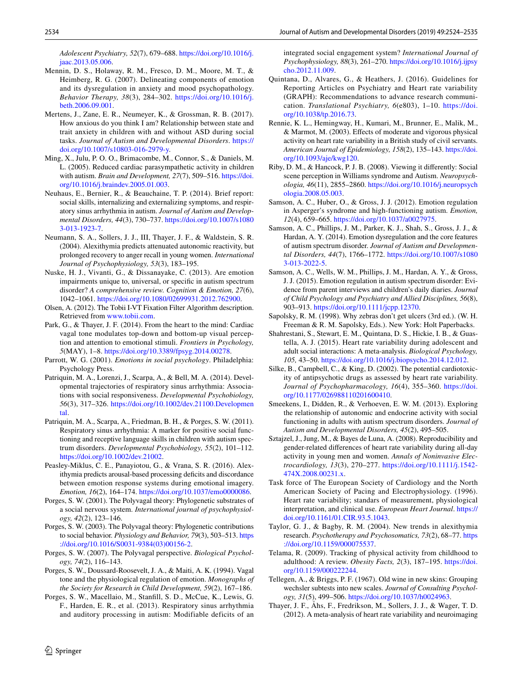*Adolescent Psychiatry, 52*(7), 679–688. [https://doi.org/10.1016/j.](https://doi.org/10.1016/j.jaac.2013.05.006) [jaac.2013.05.006](https://doi.org/10.1016/j.jaac.2013.05.006).

- <span id="page-10-32"></span>Mennin, D. S., Holaway, R. M., Fresco, D. M., Moore, M. T., & Heimberg, R. G. (2007). Delineating components of emotion and its dysregulation in anxiety and mood psychopathology. *Behavior Therapy, 38*(3), 284–302. [https://doi.org/10.1016/j.](https://doi.org/10.1016/j.beth.2006.09.001) [beth.2006.09.001.](https://doi.org/10.1016/j.beth.2006.09.001)
- <span id="page-10-11"></span>Mertens, J., Zane, E. R., Neumeyer, K., & Grossman, R. B. (2017). How anxious do you think I am? Relationship between state and trait anxiety in children with and without ASD during social tasks. *Journal of Autism and Developmental Disorders*. [https://](https://doi.org/10.1007/s10803-016-2979-y) [doi.org/10.1007/s10803-016-2979-y](https://doi.org/10.1007/s10803-016-2979-y).
- <span id="page-10-8"></span>Ming, X., Julu, P. O. O., Brimacombe, M., Connor, S., & Daniels, M. L. (2005). Reduced cardiac parasympathetic activity in children with autism. *Brain and Development, 27*(7), 509–516. [https://doi.](https://doi.org/10.1016/j.braindev.2005.01.003) [org/10.1016/j.braindev.2005.01.003](https://doi.org/10.1016/j.braindev.2005.01.003).
- <span id="page-10-9"></span>Neuhaus, E., Bernier, R., & Beauchaine, T. P. (2014). Brief report: social skills, internalizing and externalizing symptoms, and respiratory sinus arrhythmia in autism. *Journal of Autism and Developmental Disorders, 44*(3), 730–737. [https://doi.org/10.1007/s1080](https://doi.org/10.1007/s10803-013-1923-7) [3-013-1923-7](https://doi.org/10.1007/s10803-013-1923-7).
- <span id="page-10-29"></span>Neumann, S. A., Sollers, J. J., III, Thayer, J. F., & Waldstein, S. R. (2004). Alexithymia predicts attenuated autonomic reactivity, but prolonged recovery to anger recall in young women. *International Journal of Psychophysiology, 53*(3), 183–195.
- <span id="page-10-26"></span>Nuske, H. J., Vivanti, G., & Dissanayake, C. (2013). Are emotion impairments unique to, universal, or specifc in autism spectrum disorder? *A comprehensive review. Cognition & Emotion, 27*(6), 1042–1061. [https://doi.org/10.1080/02699931.2012.762900.](https://doi.org/10.1080/02699931.2012.762900)
- <span id="page-10-18"></span>Olsen, A. (2012). The Tobii I-VT Fixation Filter Algorithm description. Retrieved from [www.tobii.com.](http://www.tobii.com)
- <span id="page-10-24"></span>Park, G., & Thayer, J. F. (2014). From the heart to the mind: Cardiac vagal tone modulates top-down and bottom-up visual perception and attention to emotional stimuli. *Frontiers in Psychology, 5*(MAY), 1–8. [https://doi.org/10.3389/fpsyg.2014.00278.](https://doi.org/10.3389/fpsyg.2014.00278)
- <span id="page-10-20"></span>Parrott, W. G. (2001). *Emotions in social psychology*. Philadelphia: Psychology Press.
- <span id="page-10-2"></span>Patriquin, M. A., Lorenzi, J., Scarpa, A., & Bell, M. A. (2014). Developmental trajectories of respiratory sinus arrhythmia: Associations with social responsiveness. *Developmental Psychobiology, 56*(3), 317–326. [https://doi.org/10.1002/dev.21100.Developmen](https://doi.org/10.1002/dev.21100.Developmental) [tal.](https://doi.org/10.1002/dev.21100.Developmental)
- <span id="page-10-3"></span>Patriquin, M. A., Scarpa, A., Friedman, B. H., & Porges, S. W. (2011). Respiratory sinus arrhythmia: A marker for positive social functioning and receptive language skills in children with autism spectrum disorders. *Developmental Psychobiology, 55*(2), 101–112. <https://doi.org/10.1002/dev.21002>.
- <span id="page-10-27"></span>Peasley-Miklus, C. E., Panayiotou, G., & Vrana, S. R. (2016). Alexithymia predicts arousal-based processing deficits and discordance between emotion response systems during emotional imagery. *Emotion, 16*(2), 164–174.<https://doi.org/10.1037/emo0000086>.
- <span id="page-10-4"></span>Porges, S. W. (2001). The Polyvagal theory: Phylogenetic substrates of a social nervous system. *International journal of psychophysiology, 42*(2), 123–146.
- <span id="page-10-25"></span>Porges, S. W. (2003). The Polyvagal theory: Phylogenetic contributions to social behavior. *Physiology and Behavior, 79*(3), 503–513. [https](https://doi.org/10.1016/S0031-9384(03)00156-2) [://doi.org/10.1016/S0031-9384\(03\)00156-2](https://doi.org/10.1016/S0031-9384(03)00156-2).
- <span id="page-10-5"></span>Porges, S. W. (2007). The Polyvagal perspective. *Biological Psychology, 74*(2), 116–143.
- <span id="page-10-12"></span>Porges, S. W., Doussard-Roosevelt, J. A., & Maiti, A. K. (1994). Vagal tone and the physiological regulation of emotion. *Monographs of the Society for Research in Child Development, 59*(2), 167–186.
- <span id="page-10-6"></span>Porges, S. W., Macellaio, M., Stanfll, S. D., McCue, K., Lewis, G. F., Harden, E. R., et al. (2013). Respiratory sinus arrhythmia and auditory processing in autism: Modifiable deficits of an

integrated social engagement system? *International Journal of Psychophysiology, 88*(3), 261–270. [https://doi.org/10.1016/j.ijpsy](https://doi.org/10.1016/j.ijpsycho.2012.11.009) [cho.2012.11.009.](https://doi.org/10.1016/j.ijpsycho.2012.11.009)

- <span id="page-10-21"></span>Quintana, D., Alvares, G., & Heathers, J. (2016). Guidelines for Reporting Articles on Psychiatry and Heart rate variability (GRAPH): Recommendations to advance research communication. *Translational Psychiatry, 6*(e803), 1–10. [https://doi.](https://doi.org/10.1038/tp.2016.73) [org/10.1038/tp.2016.73.](https://doi.org/10.1038/tp.2016.73)
- <span id="page-10-31"></span>Rennie, K. L., Hemingway, H., Kumari, M., Brunner, E., Malik, M., & Marmot, M. (2003). Efects of moderate and vigorous physical activity on heart rate variability in a British study of civil servants. *American Journal of Epidemiology, 158*(2), 135–143. [https://doi.](https://doi.org/10.1093/aje/kwg120) [org/10.1093/aje/kwg120.](https://doi.org/10.1093/aje/kwg120)
- <span id="page-10-30"></span>Riby, D. M., & Hancock, P. J. B. (2008). Viewing it diferently: Social scene perception in Williams syndrome and Autism. *Neuropsychologia, 46*(11), 2855–2860. [https://doi.org/10.1016/j.neuropsych](https://doi.org/10.1016/j.neuropsychologia.2008.05.003) [ologia.2008.05.003.](https://doi.org/10.1016/j.neuropsychologia.2008.05.003)
- <span id="page-10-15"></span>Samson, A. C., Huber, O., & Gross, J. J. (2012). Emotion regulation in Asperger's syndrome and high-functioning autism. *Emotion, 12*(4), 659–665.<https://doi.org/10.1037/a0027975>.
- <span id="page-10-16"></span>Samson, A. C., Phillips, J. M., Parker, K. J., Shah, S., Gross, J. J., & Hardan, A. Y. (2014). Emotion dysregulation and the core features of autism spectrum disorder. *Journal of Autism and Developmental Disorders, 44*(7), 1766–1772. [https://doi.org/10.1007/s1080](https://doi.org/10.1007/s10803-013-2022-5) [3-013-2022-5](https://doi.org/10.1007/s10803-013-2022-5).
- <span id="page-10-0"></span>Samson, A. C., Wells, W. M., Phillips, J. M., Hardan, A. Y., & Gross, J. J. (2015). Emotion regulation in autism spectrum disorder: Evidence from parent interviews and children's daily diaries. *Journal of Child Psychology and Psychiatry and Allied Disciplines, 56*(8), 903–913.<https://doi.org/10.1111/jcpp.12370>.
- <span id="page-10-1"></span>Sapolsky, R. M. (1998). Why zebras don't get ulcers (3rd ed.). (W. H. Freeman & R. M. Sapolsky, Eds.). New York: Holt Paperbacks.
- <span id="page-10-10"></span>Shahrestani, S., Stewart, E. M., Quintana, D. S., Hickie, I. B., & Guastella, A. J. (2015). Heart rate variability during adolescent and adult social interactions: A meta-analysis. *Biological Psychology, 105,* 43–50. [https://doi.org/10.1016/j.biopsycho.2014.12.012.](https://doi.org/10.1016/j.biopsycho.2014.12.012)
- <span id="page-10-22"></span>Silke, B., Campbell, C., & King, D. (2002). The potential cardiotoxicity of antipsychotic drugs as assessed by heart rate variability. *Journal of Psychopharmacology, 16*(4), 355–360. [https://doi.](https://doi.org/10.1177/026988110201600410) [org/10.1177/026988110201600410](https://doi.org/10.1177/026988110201600410).
- <span id="page-10-14"></span>Smeekens, I., Didden, R., & Verhoeven, E. W. M. (2013). Exploring the relationship of autonomic and endocrine activity with social functioning in adults with autism spectrum disorders. *Journal of Autism and Developmental Disorders, 45*(2), 495–505.
- <span id="page-10-23"></span>Sztajzel, J., Jung, M., & Bayes de Luna, A. (2008). Reproducibility and gender-related diferences of heart rate variability during all-day activity in young men and women. *Annals of Noninvasive Electrocardiology, 13*(3), 270–277. [https://doi.org/10.1111/j.1542-](https://doi.org/10.1111/j.1542-474X.2008.00231.x) [474X.2008.00231.x.](https://doi.org/10.1111/j.1542-474X.2008.00231.x)
- <span id="page-10-19"></span>Task force of The European Society of Cardiology and the North American Society of Pacing and Electrophysiology. (1996). Heart rate variability; standars of measurement, physiological interpretation, and clinical use. *European Heart Journal*. [https://](https://doi.org/10.1161/01.CIR.93.5.1043) [doi.org/10.1161/01.CIR.93.5.1043.](https://doi.org/10.1161/01.CIR.93.5.1043)
- <span id="page-10-28"></span>Taylor, G. J., & Bagby, R. M. (2004). New trends in alexithymia research. *Psychotherapy and Psychosomatics, 73*(2), 68–77. [https](https://doi.org/10.1159/000075537) [://doi.org/10.1159/000075537](https://doi.org/10.1159/000075537).
- <span id="page-10-13"></span>Telama, R. (2009). Tracking of physical activity from childhood to adulthood: A review. *Obesity Facts, 2*(3), 187–195. [https://doi.](https://doi.org/10.1159/000222244) [org/10.1159/000222244.](https://doi.org/10.1159/000222244)
- <span id="page-10-17"></span>Tellegen, A., & Briggs, P. F. (1967). Old wine in new skins: Grouping wechsler subtests into new scales. *Journal of Consulting Psychology, 31*(5), 499–506. <https://doi.org/10.1037/h0024963>.
- <span id="page-10-7"></span>Thayer, J. F., Åhs, F., Fredrikson, M., Sollers, J. J., & Wager, T. D. (2012). A meta-analysis of heart rate variability and neuroimaging